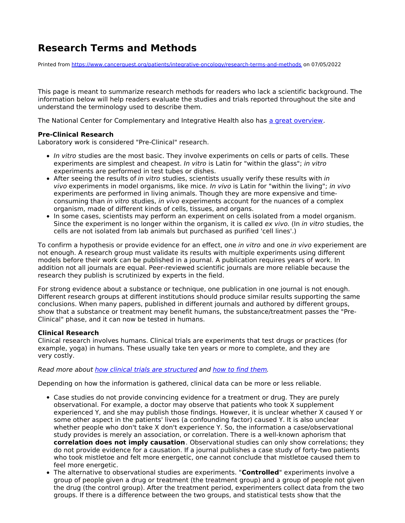## **Research Terms and Methods**

Printed from <https://www.cancerquest.org/patients/integrative-oncology/research-terms-and-methods> on 07/05/2022

This page is meant to summarize research methods for readers who lack a scientific background. The information below will help readers evaluate the studies and trials reported throughout the site and understand the terminology used to describe them.

The National Center for Complementary and Integrative Health also has a great [overview](https://nccih.nih.gov/health/know-science/make-sense-health-research).

## **Pre-Clinical Research**

Laboratory work is considered "Pre-Clinical" research.

- In vitro studies are the most basic. They involve experiments on cells or parts of cells. These experiments are simplest and cheapest. In vitro is Latin for "within the glass"; in vitro experiments are performed in test tubes or dishes.
- After seeing the results of in vitro studies, scientists usually verify these results with in vivo experiments in model organisms, like mice. In vivo is Latin for "within the living"; in vivo experiments are performed in living animals. Though they are more expensive and timeconsuming than in vitro studies, in vivo experiments account for the nuances of a complex organism, made of different kinds of cells, tissues, and organs.
- In some cases, scientists may perform an experiment on cells isolated from a model organism. Since the experiment is no longer within the organism, it is called ex vivo. (In in vitro studies, the cells are not isolated from lab animals but purchased as purified 'cell lines'.)

To confirm a hypothesis or provide evidence for an effect, one in vitro and one in vivo experiement are not enough. A research group must validate its results with multiple experiments using different models before their work can be published in a journal. A publication requires years of work. In addition not all journals are equal. Peer-reviewed scientific journals are more reliable because the research they publish is scrutinized by experts in the field.

For strong evidence about a substance or technique, one publication in one journal is not enough. Different research groups at different institutions should produce similar results supporting the same conclusions. When many papers, published in different journals and authored by different groups, show that a substance or treatment may benefit humans, the substance/treatment passes the "Pre-Clinical" phase, and it can now be tested in humans.

## **Clinical Research**

Clinical research involves humans. Clinical trials are experiments that test drugs or practices (for example, yoga) in humans. These usually take ten years or more to complete, and they are very costly.

## Read more about how clinical trials are [structured](https://www.cancerquest.org/patients/drug-discovery-and-development) and how to find [them](https://www.cancerquest.org/patients/clinical-trials).

Depending on how the information is gathered, clinical data can be more or less reliable.

- Case studies do not provide convincing evidence for a treatment or drug. They are purely observational. For example, a doctor may observe that patients who took X supplement experienced Y, and she may publish those findings. However, it is unclear whether X caused Y or some other aspect in the patients' lives (a confounding factor) caused Y. It is also unclear whether people who don't take X don't experience Y. So, the information a case/observational study provides is merely an association, or correlation. There is a well-known aphorism that **correlation does not imply causation**. Observational studies can only show correlations; they do not provide evidence for a causation. If a journal publishes a case study of forty-two patients who took mistletoe and felt more energetic, one cannot conclude that mistletoe caused them to feel more energetic.
- The alternative to observational studies are experiments. "**Controlled**" experiments involve a group of people given a drug or treatment (the treatment group) and a group of people not given the drug (the control group). After the treatment period, experimenters collect data from the two groups. If there is a difference between the two groups, and statistical tests show that the